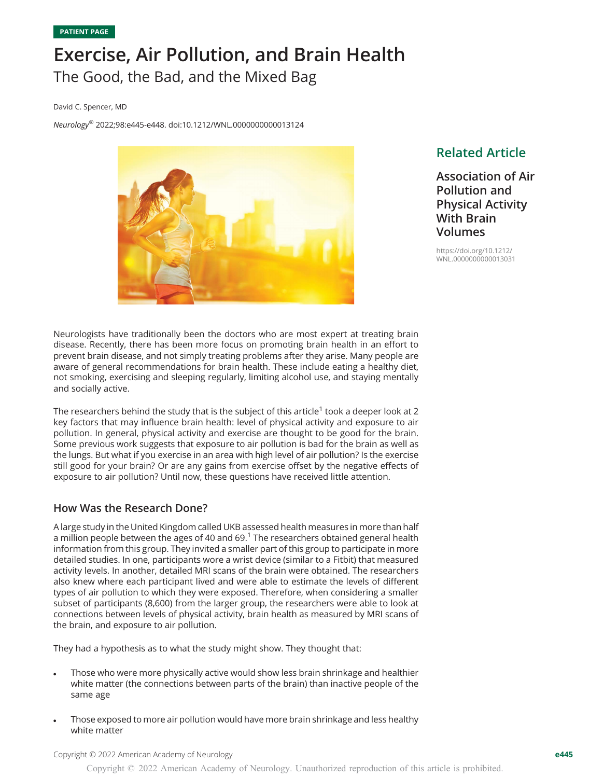# Exercise, Air Pollution, and Brain Health The Good, the Bad, and the Mixed Bag

David C. Spencer, MD

Neurology® 2022;98:e445-e448. doi[:10.1212/WNL.0000000000013124](http://dx.doi.org/10.1212/WNL.0000000000013124)



# Related Article

Association of Air Pollution and Physical Activity With Brain Volumes

[https://doi.org/10.1212/](https://doi.org/10.1212/WNL.0000000000013031) [WNL.0000000000013031](https://doi.org/10.1212/WNL.0000000000013031)

Neurologists have traditionally been the doctors who are most expert at treating brain disease. Recently, there has been more focus on promoting brain health in an effort to prevent brain disease, and not simply treating problems after they arise. Many people are aware of general recommendations for brain health. These include eating a healthy diet, not smoking, exercising and sleeping regularly, limiting alcohol use, and staying mentally and socially active.

The researchers behind the study that is the subject of this article<sup>1</sup> took a deeper look at 2 key factors that may influence brain health: level of physical activity and exposure to air pollution. In general, physical activity and exercise are thought to be good for the brain. Some previous work suggests that exposure to air pollution is bad for the brain as well as the lungs. But what if you exercise in an area with high level of air pollution? Is the exercise still good for your brain? Or are any gains from exercise offset by the negative effects of exposure to air pollution? Until now, these questions have received little attention.

# How Was the Research Done?

A large study in the United Kingdom called UKB assessed health measures in more than half a million people between the ages of 40 and 69. $<sup>1</sup>$  The researchers obtained general health</sup> information from this group. They invited a smaller part of this group to participate in more detailed studies. In one, participants wore a wrist device (similar to a Fitbit) that measured activity levels. In another, detailed MRI scans of the brain were obtained. The researchers also knew where each participant lived and were able to estimate the levels of different types of air pollution to which they were exposed. Therefore, when considering a smaller subset of participants (8,600) from the larger group, the researchers were able to look at connections between levels of physical activity, brain health as measured by MRI scans of the brain, and exposure to air pollution.

They had a hypothesis as to what the study might show. They thought that:

- Those who were more physically active would show less brain shrinkage and healthier white matter (the connections between parts of the brain) than inactive people of the same age
- Those exposed to more air pollution would have more brain shrinkage and less healthy white matter

Copyright © 2022 American Academy of Neurology e445

Copyright © 2022 American Academy of Neurology. Unauthorized reproduction of this article is prohibited.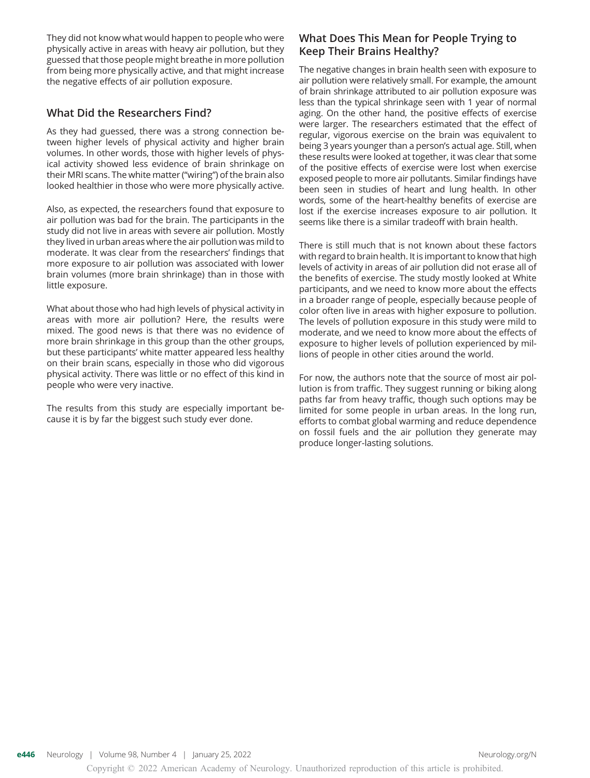They did not know what would happen to people who were physically active in areas with heavy air pollution, but they guessed that those people might breathe in more pollution from being more physically active, and that might increase the negative effects of air pollution exposure.

# What Did the Researchers Find?

As they had guessed, there was a strong connection between higher levels of physical activity and higher brain volumes. In other words, those with higher levels of physical activity showed less evidence of brain shrinkage on their MRI scans. The white matter ("wiring") of the brain also looked healthier in those who were more physically active.

Also, as expected, the researchers found that exposure to air pollution was bad for the brain. The participants in the study did not live in areas with severe air pollution. Mostly they lived in urban areas where the air pollution was mild to moderate. It was clear from the researchers' findings that more exposure to air pollution was associated with lower brain volumes (more brain shrinkage) than in those with little exposure.

What about those who had high levels of physical activity in areas with more air pollution? Here, the results were mixed. The good news is that there was no evidence of more brain shrinkage in this group than the other groups, but these participants' white matter appeared less healthy on their brain scans, especially in those who did vigorous physical activity. There was little or no effect of this kind in people who were very inactive.

The results from this study are especially important because it is by far the biggest such study ever done.

# What Does This Mean for People Trying to Keep Their Brains Healthy?

The negative changes in brain health seen with exposure to air pollution were relatively small. For example, the amount of brain shrinkage attributed to air pollution exposure was less than the typical shrinkage seen with 1 year of normal aging. On the other hand, the positive effects of exercise were larger. The researchers estimated that the effect of regular, vigorous exercise on the brain was equivalent to being 3 years younger than a person's actual age. Still, when these results were looked at together, it was clear that some of the positive effects of exercise were lost when exercise exposed people to more air pollutants. Similar findings have been seen in studies of heart and lung health. In other words, some of the heart-healthy benefits of exercise are lost if the exercise increases exposure to air pollution. It seems like there is a similar tradeoff with brain health.

There is still much that is not known about these factors with regard to brain health. It is important to know that high levels of activity in areas of air pollution did not erase all of the benefits of exercise. The study mostly looked at White participants, and we need to know more about the effects in a broader range of people, especially because people of color often live in areas with higher exposure to pollution. The levels of pollution exposure in this study were mild to moderate, and we need to know more about the effects of exposure to higher levels of pollution experienced by millions of people in other cities around the world.

For now, the authors note that the source of most air pollution is from traffic. They suggest running or biking along paths far from heavy traffic, though such options may be limited for some people in urban areas. In the long run, efforts to combat global warming and reduce dependence on fossil fuels and the air pollution they generate may produce longer-lasting solutions.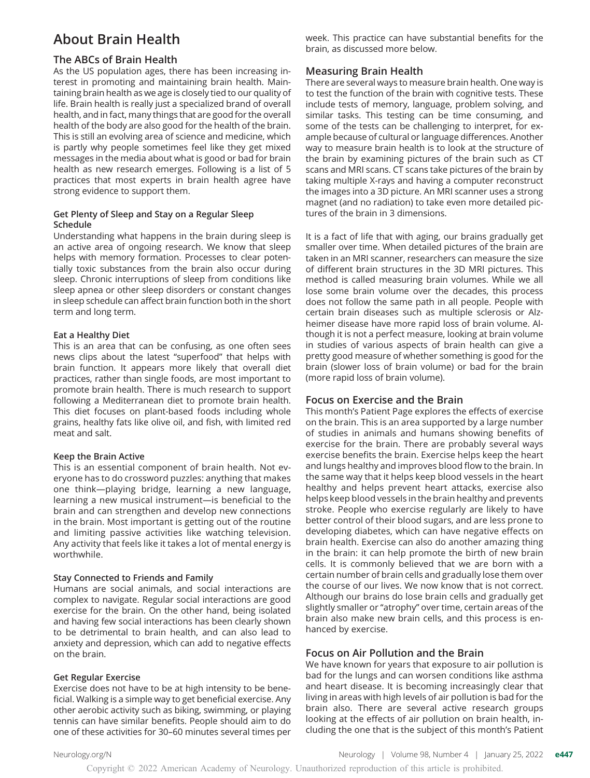# About Brain Health

## The ABCs of Brain Health

As the US population ages, there has been increasing interest in promoting and maintaining brain health. Maintaining brain health as we age is closely tied to our quality of life. Brain health is really just a specialized brand of overall health, and in fact, many things that are good for the overall health of the body are also good for the health of the brain. This is still an evolving area of science and medicine, which is partly why people sometimes feel like they get mixed messages in the media about what is good or bad for brain health as new research emerges. Following is a list of 5 practices that most experts in brain health agree have strong evidence to support them.

#### Get Plenty of Sleep and Stay on a Regular Sleep Schedule

Understanding what happens in the brain during sleep is an active area of ongoing research. We know that sleep helps with memory formation. Processes to clear potentially toxic substances from the brain also occur during sleep. Chronic interruptions of sleep from conditions like sleep apnea or other sleep disorders or constant changes in sleep schedule can affect brain function both in the short term and long term.

#### Eat a Healthy Diet

This is an area that can be confusing, as one often sees news clips about the latest "superfood" that helps with brain function. It appears more likely that overall diet practices, rather than single foods, are most important to promote brain health. There is much research to support following a Mediterranean diet to promote brain health. This diet focuses on plant-based foods including whole grains, healthy fats like olive oil, and fish, with limited red meat and salt.

#### Keep the Brain Active

This is an essential component of brain health. Not everyone has to do crossword puzzles: anything that makes one think—playing bridge, learning a new language, learning a new musical instrument—is beneficial to the brain and can strengthen and develop new connections in the brain. Most important is getting out of the routine and limiting passive activities like watching television. Any activity that feels like it takes a lot of mental energy is worthwhile.

#### Stay Connected to Friends and Family

Humans are social animals, and social interactions are complex to navigate. Regular social interactions are good exercise for the brain. On the other hand, being isolated and having few social interactions has been clearly shown to be detrimental to brain health, and can also lead to anxiety and depression, which can add to negative effects on the brain.

#### Get Regular Exercise

Exercise does not have to be at high intensity to be beneficial. Walking is a simple way to get beneficial exercise. Any other aerobic activity such as biking, swimming, or playing tennis can have similar benefits. People should aim to do one of these activities for 30–60 minutes several times per week. This practice can have substantial benefits for the brain, as discussed more below.

## Measuring Brain Health

There are several ways to measure brain health. One way is to test the function of the brain with cognitive tests. These include tests of memory, language, problem solving, and similar tasks. This testing can be time consuming, and some of the tests can be challenging to interpret, for example because of cultural or language differences. Another way to measure brain health is to look at the structure of the brain by examining pictures of the brain such as CT scans and MRI scans. CT scans take pictures of the brain by taking multiple X-rays and having a computer reconstruct the images into a 3D picture. An MRI scanner uses a strong magnet (and no radiation) to take even more detailed pictures of the brain in 3 dimensions.

It is a fact of life that with aging, our brains gradually get smaller over time. When detailed pictures of the brain are taken in an MRI scanner, researchers can measure the size of different brain structures in the 3D MRI pictures. This method is called measuring brain volumes. While we all lose some brain volume over the decades, this process does not follow the same path in all people. People with certain brain diseases such as multiple sclerosis or Alzheimer disease have more rapid loss of brain volume. Although it is not a perfect measure, looking at brain volume in studies of various aspects of brain health can give a pretty good measure of whether something is good for the brain (slower loss of brain volume) or bad for the brain (more rapid loss of brain volume).

#### Focus on Exercise and the Brain

This month's Patient Page explores the effects of exercise on the brain. This is an area supported by a large number of studies in animals and humans showing benefits of exercise for the brain. There are probably several ways exercise benefits the brain. Exercise helps keep the heart and lungs healthy and improves blood flow to the brain. In the same way that it helps keep blood vessels in the heart healthy and helps prevent heart attacks, exercise also helps keep blood vessels in the brain healthy and prevents stroke. People who exercise regularly are likely to have better control of their blood sugars, and are less prone to developing diabetes, which can have negative effects on brain health. Exercise can also do another amazing thing in the brain: it can help promote the birth of new brain cells. It is commonly believed that we are born with a certain number of brain cells and gradually lose them over the course of our lives. We now know that is not correct. Although our brains do lose brain cells and gradually get slightly smaller or "atrophy" over time, certain areas of the brain also make new brain cells, and this process is enhanced by exercise.

#### Focus on Air Pollution and the Brain

We have known for years that exposure to air pollution is bad for the lungs and can worsen conditions like asthma and heart disease. It is becoming increasingly clear that living in areas with high levels of air pollution is bad for the brain also. There are several active research groups looking at the effects of air pollution on brain health, including the one that is the subject of this month's Patient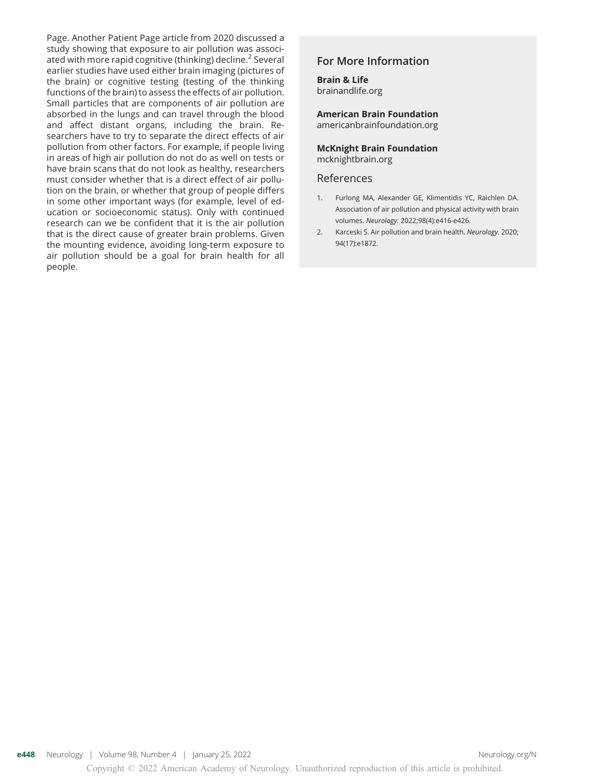Page. Another Patient Page article from 2020 discussed a study showing that exposure to air pollution was associated with more rapid cognitive (thinking) decline.<sup>2</sup> Several earlier studies have used either brain imaging (pictures of the brain) or cognitive testing (testing of the thinking functions of the brain) to assess the effects of air pollution. Small particles that are components of air pollution are absorbed in the lungs and can travel through the blood and affect distant organs, including the brain. Researchers have to try to separate the direct effects of air pollution from other factors. For example, if people living in areas of high air pollution do not do as well on tests or have brain scans that do not look as healthy, researchers must consider whether that is a direct effect of air pollution on the brain, or whether that group of people differs in some other important ways (for example, level of education or socioeconomic status). Only with continued research can we be confident that it is the air pollution that is the direct cause of greater brain problems. Given the mounting evidence, avoiding long-term exposure to air pollution should be a goal for brain health for all people.

# For More Information

Brain & Life [brainandlife.org](https://www.brainandlife.org/)

American Brain Foundation

[americanbrainfoundation.org](https://www.americanbrainfoundation.org/)

McKnight Brain Foundation [mcknightbrain.org](https://mcknightbrain.org/)

#### References

- 1. Furlong MA, Alexander GE, Klimentidis YC, Raichlen DA. Association of air pollution and physical activity with brain volumes. Neurology. 2022;98(4):e416-e426.
- 2. Karceski S. Air pollution and brain health. Neurology. 2020; 94(17):e1872.